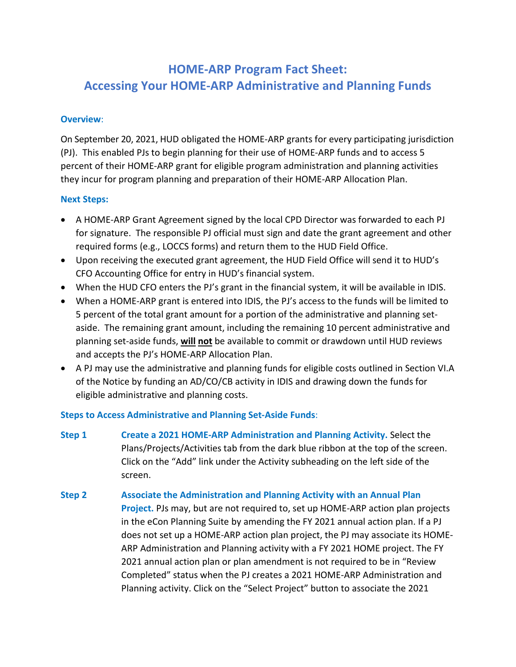# **HOME-ARP Program Fact Sheet: Accessing Your HOME-ARP Administrative and Planning Funds**

### **Overview**:

 On September 20, 2021, HUD obligated the HOME-ARP grants for every participating jurisdiction (PJ). This enabled PJs to begin planning for their use of HOME-ARP funds and to access 5 percent of their HOME-ARP grant for eligible program administration and planning activities they incur for program planning and preparation of their HOME-ARP Allocation Plan.

### **Next Steps:**

- A HOME-ARP Grant Agreement signed by the local CPD Director was forwarded to each PJ for signature. The responsible PJ official must sign and date the grant agreement and other required forms (e.g., LOCCS forms) and return them to the HUD Field Office.
- Upon receiving the executed grant agreement, the HUD Field Office will send it to HUD's CFO Accounting Office for entry in HUD's financial system.
- When the HUD CFO enters the PJ's grant in the financial system, it will be available in IDIS.
- When a HOME-ARP grant is entered into IDIS, the PJ's access to the funds will be limited to 5 percent of the total grant amount for a portion of the administrative and planning set- aside. The remaining grant amount, including the remaining 10 percent administrative and planning set-aside funds, **will not** be available to commit or drawdown until HUD reviews and accepts the PJ's HOME-ARP Allocation Plan.
- A PJ may use the administrative and planning funds for eligible costs outlined in Section VI.A of the Notice by funding an AD/CO/CB activity in IDIS and drawing down the funds for eligible administrative and planning costs.

## **Steps to Access Administrative and Planning Set-Aside Funds**:

- **Step 1 Create a 2021 HOME-ARP Administration and Planning Activity.** Select the Plans/Projects/Activities tab from the dark blue ribbon at the top of the screen. Click on the "Add" link under the Activity subheading on the left side of the screen.
- **Step 2 Associate the Administration and Planning Activity with an Annual Plan Project.** PJs may, but are not required to, set up HOME-ARP action plan projects in the eCon Planning Suite by amending the FY 2021 annual action plan. If a PJ does not set up a HOME-ARP action plan project, the PJ may associate its HOME- ARP Administration and Planning activity with a FY 2021 HOME project. The FY 2021 annual action plan or plan amendment is not required to be in "Review Completed" status when the PJ creates a 2021 HOME-ARP Administration and Planning activity. Click on the "Select Project" button to associate the 2021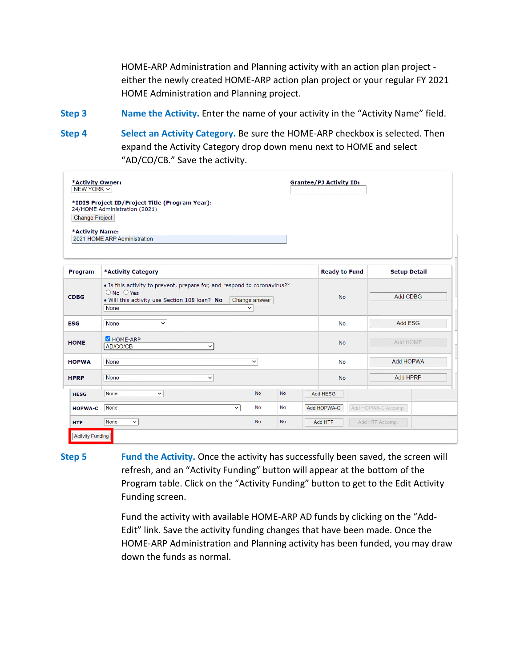HOME-ARP Administration and Planning activity with an action plan project either the newly created HOME-ARP action plan project or your regular FY 2021 HOME Administration and Planning project.

**Step 3** Name the Activity. Enter the name of your activity in the "Activity Name" field.

**Step 4 Select an Activity Category.** Be sure the HOME-ARP checkbox is selected. Then expand the Activity Category drop down menu next to HOME and select "AD/CO/CB." Save the activity.

| *Activity Owner:<br><b>Grantee/PJ Activity ID:</b><br>NEW YORK ~<br>*IDIS Project ID/Project Title (Program Year): |                                                                                                                                                                                                           |           |                      |                            |                                    |  |  |  |  |  |
|--------------------------------------------------------------------------------------------------------------------|-----------------------------------------------------------------------------------------------------------------------------------------------------------------------------------------------------------|-----------|----------------------|----------------------------|------------------------------------|--|--|--|--|--|
| <b>Change Project</b><br>*Activity Name:                                                                           | 24/HOME Administration (2021)<br>2021 HOME ARP Administration                                                                                                                                             |           |                      |                            |                                    |  |  |  |  |  |
|                                                                                                                    |                                                                                                                                                                                                           |           |                      |                            |                                    |  |  |  |  |  |
| Program                                                                                                            | *Activity Category                                                                                                                                                                                        |           | <b>Ready to Fund</b> | <b>Setup Detail</b>        |                                    |  |  |  |  |  |
| <b>CDBG</b>                                                                                                        | • Is this activity to prevent, prepare for, and respond to coronavirus?*<br>$\bigcirc$ No $\bigcirc$ Yes<br>• Will this activity use Section 108 loan? No<br>Change answer<br><b>None</b><br>$\checkmark$ |           | <b>No</b>            | <b>Add CDBG</b>            |                                    |  |  |  |  |  |
| <b>ESG</b>                                                                                                         | <b>None</b><br>$\checkmark$                                                                                                                                                                               |           | <b>No</b>            | <b>Add ESG</b>             |                                    |  |  |  |  |  |
| <b>HOME</b>                                                                                                        | HOME-ARP<br>AD/CO/CB<br>$\checkmark$                                                                                                                                                                      |           | <b>No</b>            | Add HOME                   |                                    |  |  |  |  |  |
| <b>HOPWA</b>                                                                                                       | <b>None</b>                                                                                                                                                                                               |           | <b>No</b>            | Add HOPWA                  |                                    |  |  |  |  |  |
| <b>HPRP</b>                                                                                                        | <b>None</b><br>$\checkmark$                                                                                                                                                                               |           | <b>No</b>            | <b>Add HPRP</b>            |                                    |  |  |  |  |  |
| <b>HESG</b>                                                                                                        | None<br>$\check{~}$                                                                                                                                                                                       | <b>No</b> | <b>No</b>            |                            | Add HESG                           |  |  |  |  |  |
| <b>HOPWA-C</b>                                                                                                     | <b>None</b><br>$\checkmark$                                                                                                                                                                               | <b>No</b> | <b>No</b>            |                            | Add HOPWA-C<br>Add HOPWA-C Accomp. |  |  |  |  |  |
| <b>HTF</b>                                                                                                         | None<br>$\check{~}$                                                                                                                                                                                       | <b>No</b> | <b>No</b>            | Add HTF Accomp.<br>Add HTF |                                    |  |  |  |  |  |
| <b>Activity Funding</b>                                                                                            |                                                                                                                                                                                                           |           |                      |                            |                                    |  |  |  |  |  |

**Step 5** Fund the Activity. Once the activity has successfully been saved, the screen will refresh, and an "Activity Funding" button will appear at the bottom of the Program table. Click on the "Activity Funding" button to get to the Edit Activity Funding screen.

> Fund the activity with available HOME-ARP AD funds by clicking on the "Add- Edit" link. Save the activity funding changes that have been made. Once the HOME-ARP Administration and Planning activity has been funded, you may draw down the funds as normal.